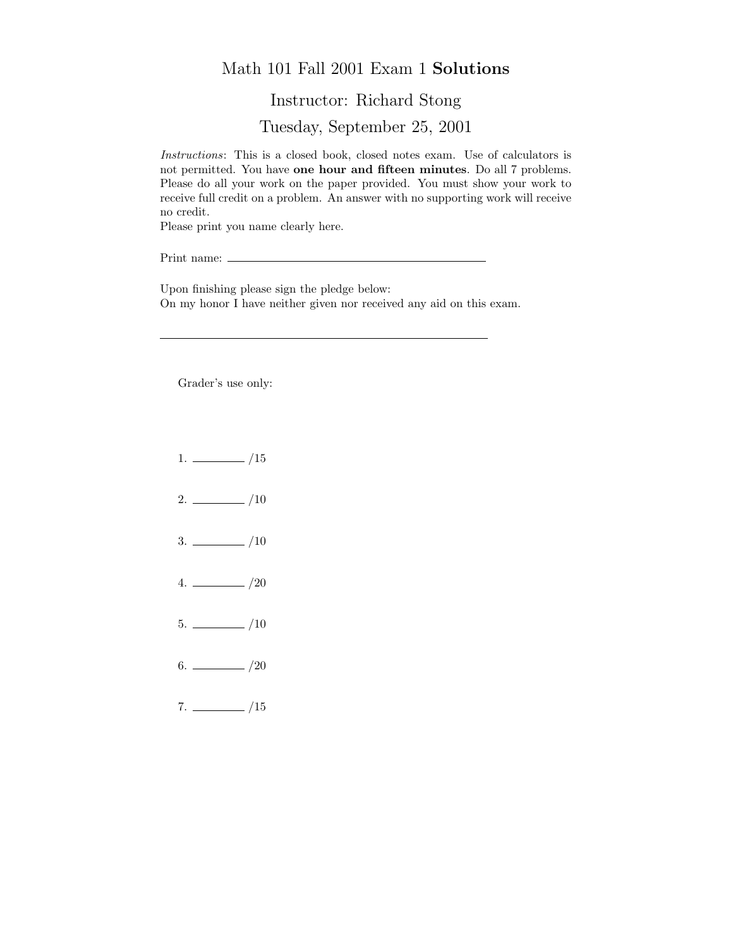## Math 101 Fall 2001 Exam 1 Solutions

Instructor: Richard Stong

Tuesday, September 25, 2001

Instructions: This is a closed book, closed notes exam. Use of calculators is not permitted. You have one hour and fifteen minutes. Do all 7 problems. Please do all your work on the paper provided. You must show your work to receive full credit on a problem. An answer with no supporting work will receive no credit.

Please print you name clearly here.

Print name:  $\equiv$ 

Upon finishing please sign the pledge below: On my honor I have neither given nor received any aid on this exam.

Grader's use only:

- $1. \ \_ \ \_ \ /15$
- $2. \ \frac{\ }{\ }$  /10
- $3. \ \_$ /10
- $4. \ \_ 20$
- $5. \ \_$ /10
- $6.$  /20
- $7. \ \_ \ \_ \ /15$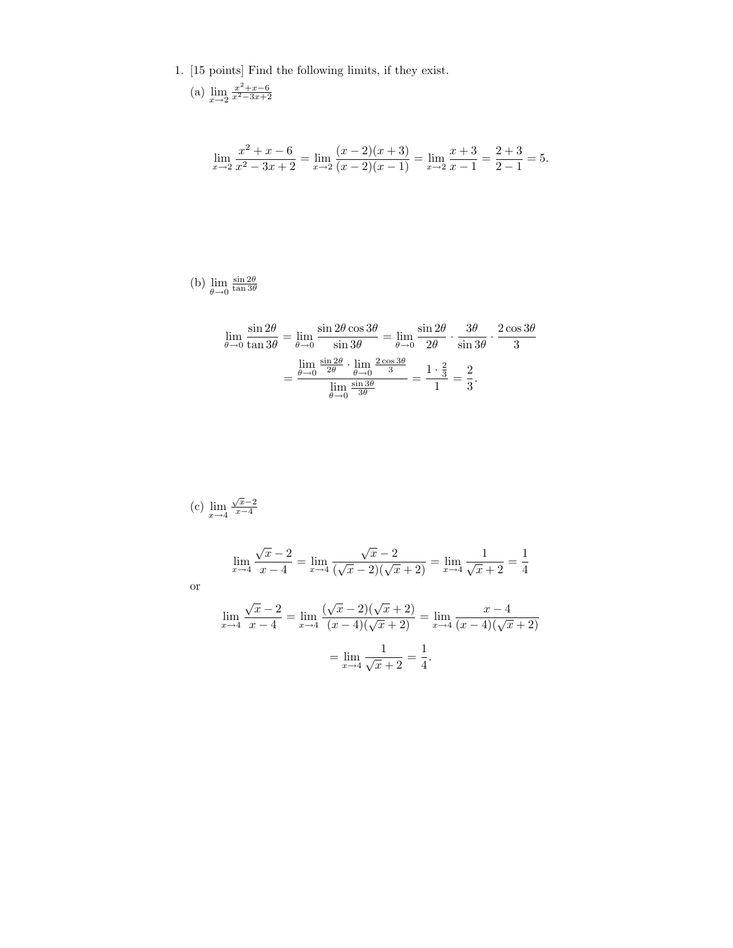1. [15 points] Find the following limits, if they exist.

(a) 
$$
\lim_{x \to 2} \frac{x^2 + x - 6}{x^2 - 3x + 2}
$$

$$
\lim_{x \to 2} \frac{x^2 + x - 6}{x^2 - 3x + 2} = \lim_{x \to 2} \frac{(x - 2)(x + 3)}{(x - 2)(x - 1)} = \lim_{x \to 2} \frac{x + 3}{x - 1} = \frac{2 + 3}{2 - 1} = 5.
$$

(b)  $\lim_{\theta \to 0}$  $\frac{\sin 2\theta}{\tan 3\theta}$ 

$$
\lim_{\theta \to 0} \frac{\sin 2\theta}{\tan 3\theta} = \lim_{\theta \to 0} \frac{\sin 2\theta \cos 3\theta}{\sin 3\theta} = \lim_{\theta \to 0} \frac{\sin 2\theta}{2\theta} \cdot \frac{3\theta}{\sin 3\theta} \cdot \frac{2\cos 3\theta}{3}
$$

$$
= \frac{\lim_{\theta \to 0} \frac{\sin 2\theta}{2\theta} \cdot \lim_{\theta \to 0} \frac{2\cos 3\theta}{3}}{\lim_{\theta \to 0} \frac{\sin 3\theta}{3\theta}} = \frac{1 \cdot \frac{2}{3}}{1} = \frac{2}{3}.
$$

(c) 
$$
\lim_{x \to 4} \frac{\sqrt{x} - 2}{x - 4}
$$
  
\n
$$
\lim_{x \to 4} \frac{\sqrt{x} - 2}{x - 4} = \lim_{x \to 4} \frac{\sqrt{x} - 2}{(\sqrt{x} - 2)(\sqrt{x} + 2)} = \lim_{x \to 4} \frac{1}{\sqrt{x} + 2} = \frac{1}{4}
$$
\nor\n
$$
\lim_{x \to 4} \frac{\sqrt{x} - 2}{x - 4} = \lim_{x \to 4} \frac{(\sqrt{x} - 2)(\sqrt{x} + 2)}{(x - 4)(\sqrt{x} + 2)} = \lim_{x \to 4} \frac{x - 4}{(x - 4)(\sqrt{x} + 2)}
$$
\n
$$
= \lim_{x \to 4} \frac{1}{\sqrt{x} + 2} = \frac{1}{4}.
$$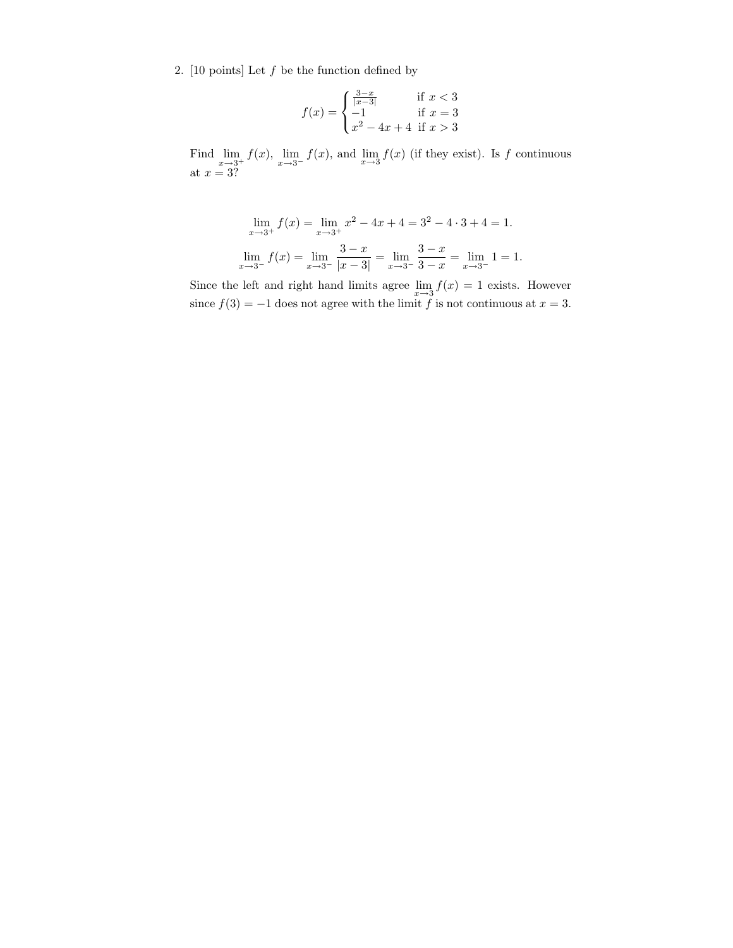2. [10 points] Let  $f$  be the function defined by

$$
f(x) = \begin{cases} \frac{3-x}{|x-3|} & \text{if } x < 3\\ -1 & \text{if } x = 3\\ x^2 - 4x + 4 & \text{if } x > 3 \end{cases}
$$

Find  $\lim_{x\to 3^+} f(x)$ ,  $\lim_{x\to 3^-} f(x)$ , and  $\lim_{x\to 3} f(x)$  (if they exist). Is f continuous at  $x = 3$ ?

$$
\lim_{x \to 3^{+}} f(x) = \lim_{x \to 3^{+}} x^{2} - 4x + 4 = 3^{2} - 4 \cdot 3 + 4 = 1.
$$
  

$$
\lim_{x \to 3^{-}} f(x) = \lim_{x \to 3^{-}} \frac{3 - x}{|x - 3|} = \lim_{x \to 3^{-}} \frac{3 - x}{3 - x} = \lim_{x \to 3^{-}} 1 = 1.
$$

Since the left and right hand limits agree  $\lim_{x\to 3} f(x) = 1$  exists. However since  $f(3) = -1$  does not agree with the limit f is not continuous at  $x = 3$ .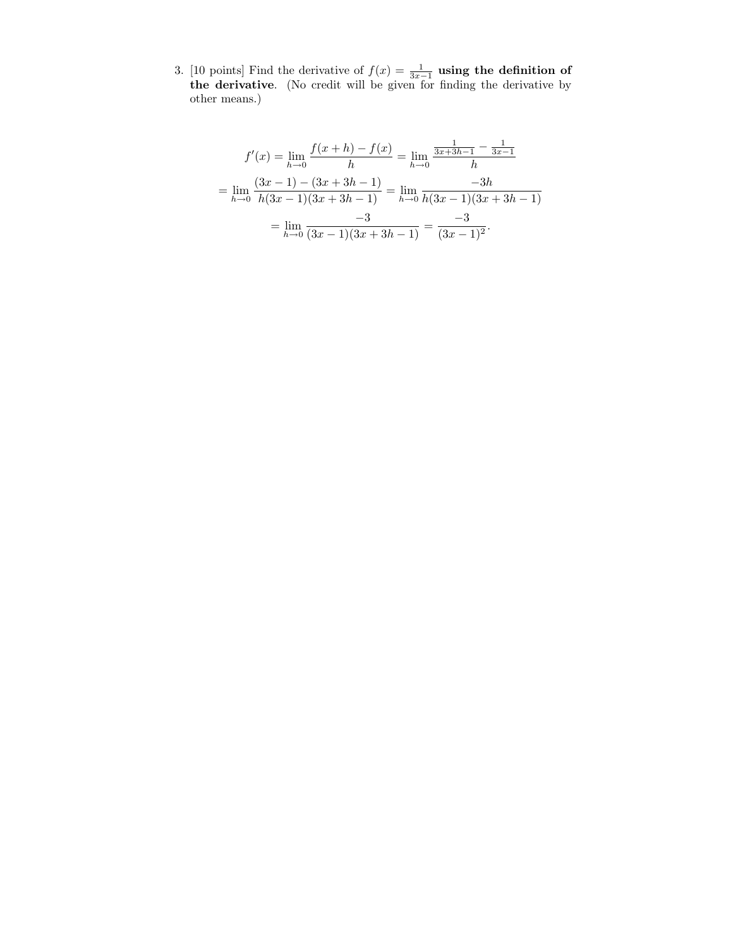3. [10 points] Find the derivative of  $f(x) = \frac{1}{3x-1}$  using the definition of the derivative. (No credit will be given for finding the derivative by other means.)

$$
f'(x) = \lim_{h \to 0} \frac{f(x+h) - f(x)}{h} = \lim_{h \to 0} \frac{\frac{1}{3x+3h-1} - \frac{1}{3x-1}}{h}
$$

$$
= \lim_{h \to 0} \frac{(3x-1) - (3x+3h-1)}{h(3x-1)(3x+3h-1)} = \lim_{h \to 0} \frac{-3h}{h(3x-1)(3x+3h-1)}
$$

$$
= \lim_{h \to 0} \frac{-3}{(3x-1)(3x+3h-1)} = \frac{-3}{(3x-1)^2}.
$$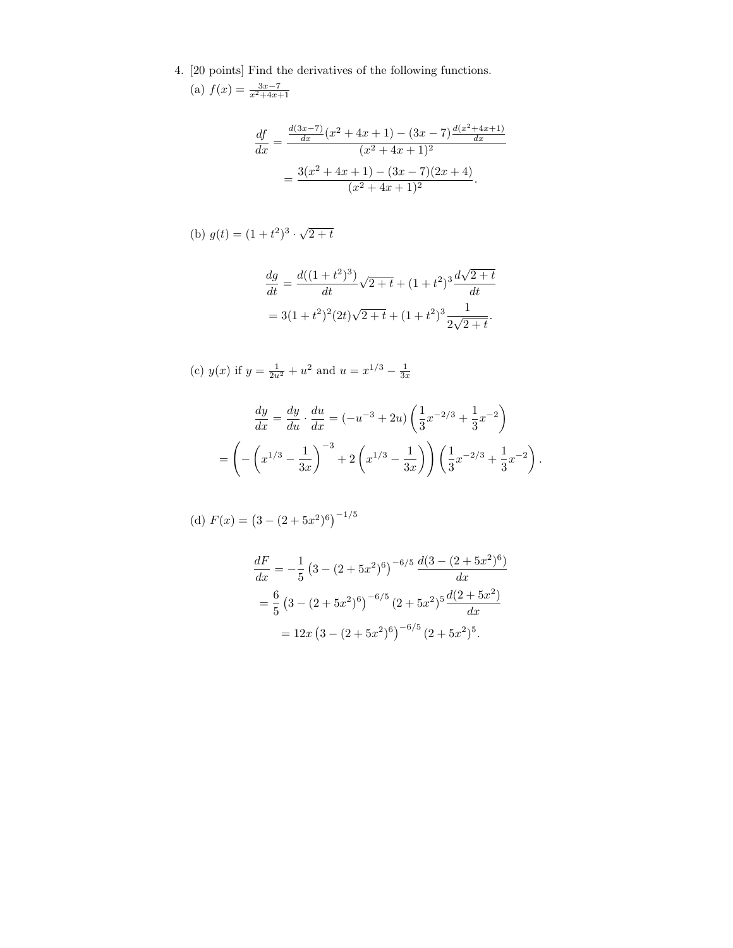4. [20 points] Find the derivatives of the following functions. (a)  $f(x) = \frac{3x-7}{x^2+4x+1}$ 

$$
\frac{df}{dx} = \frac{\frac{d(3x-7)}{dx}(x^2+4x+1) - (3x-7)\frac{d(x^2+4x+1)}{dx}}{(x^2+4x+1)^2}
$$

$$
= \frac{3(x^2+4x+1) - (3x-7)(2x+4)}{(x^2+4x+1)^2}.
$$

(b) 
$$
g(t) = (1 + t^2)^3 \cdot \sqrt{2 + t}
$$

$$
\frac{dg}{dt} = \frac{d((1+t^2)^3)}{dt}\sqrt{2+t} + (1+t^2)^3 \frac{d\sqrt{2+t}}{dt}
$$

$$
= 3(1+t^2)^2(2t)\sqrt{2+t} + (1+t^2)^3 \frac{1}{2\sqrt{2+t}}.
$$

(c) 
$$
y(x)
$$
 if  $y = \frac{1}{2u^2} + u^2$  and  $u = x^{1/3} - \frac{1}{3x}$ 

$$
\frac{dy}{dx} = \frac{dy}{du} \cdot \frac{du}{dx} = (-u^{-3} + 2u) \left(\frac{1}{3}x^{-2/3} + \frac{1}{3}x^{-2}\right)
$$

$$
= \left(-\left(x^{1/3} - \frac{1}{3x}\right)^{-3} + 2\left(x^{1/3} - \frac{1}{3x}\right)\right) \left(\frac{1}{3}x^{-2/3} + \frac{1}{3}x^{-2}\right).
$$

(d) 
$$
F(x) = (3 - (2 + 5x^2)^6)^{-1/5}
$$

$$
\frac{dF}{dx} = -\frac{1}{5} \left( 3 - (2 + 5x^2)^6 \right)^{-6/5} \frac{d(3 - (2 + 5x^2)^6)}{dx}
$$

$$
= \frac{6}{5} \left( 3 - (2 + 5x^2)^6 \right)^{-6/5} (2 + 5x^2)^5 \frac{d(2 + 5x^2)}{dx}
$$

$$
= 12x \left( 3 - (2 + 5x^2)^6 \right)^{-6/5} (2 + 5x^2)^5.
$$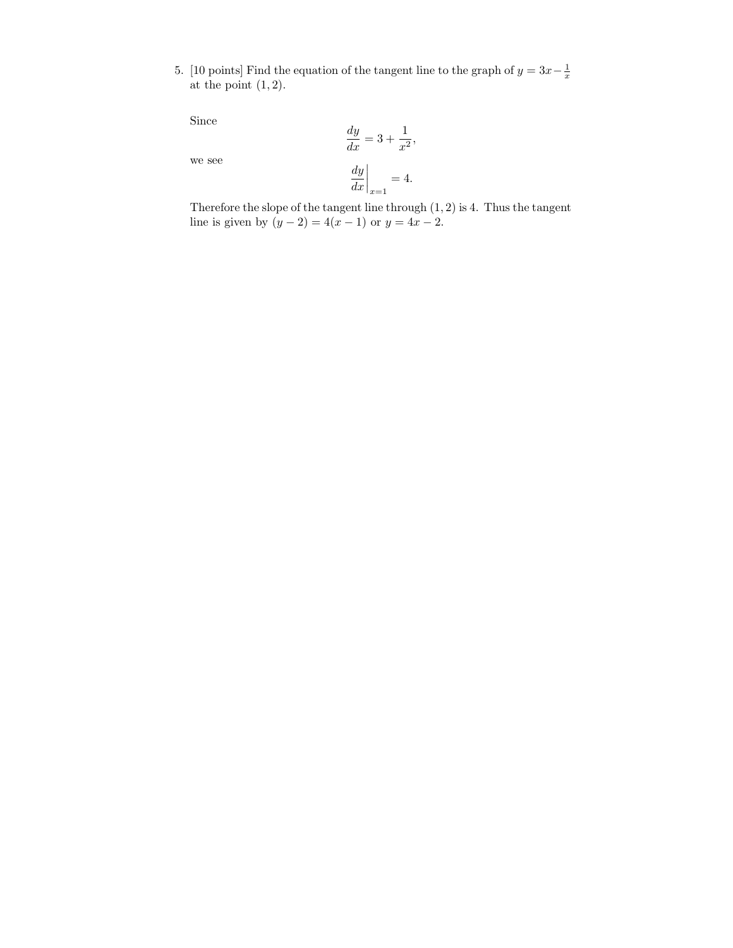5. [10 points] Find the equation of the tangent line to the graph of  $y = 3x-\frac{1}{x}$ at the point  $(1, 2)$ .

Since

$$
\quad\text{we see}\quad
$$

$$
\left. \frac{dy}{dx} \right|_{x=1} = 4.
$$

 $\frac{dy}{dx} = 3 + \frac{1}{x^2}$ 

 $\frac{1}{x^2}$ ,

Therefore the slope of the tangent line through (1, 2) is 4. Thus the tangent line is given by  $(y - 2) = 4(x - 1)$  or  $y = 4x - 2$ .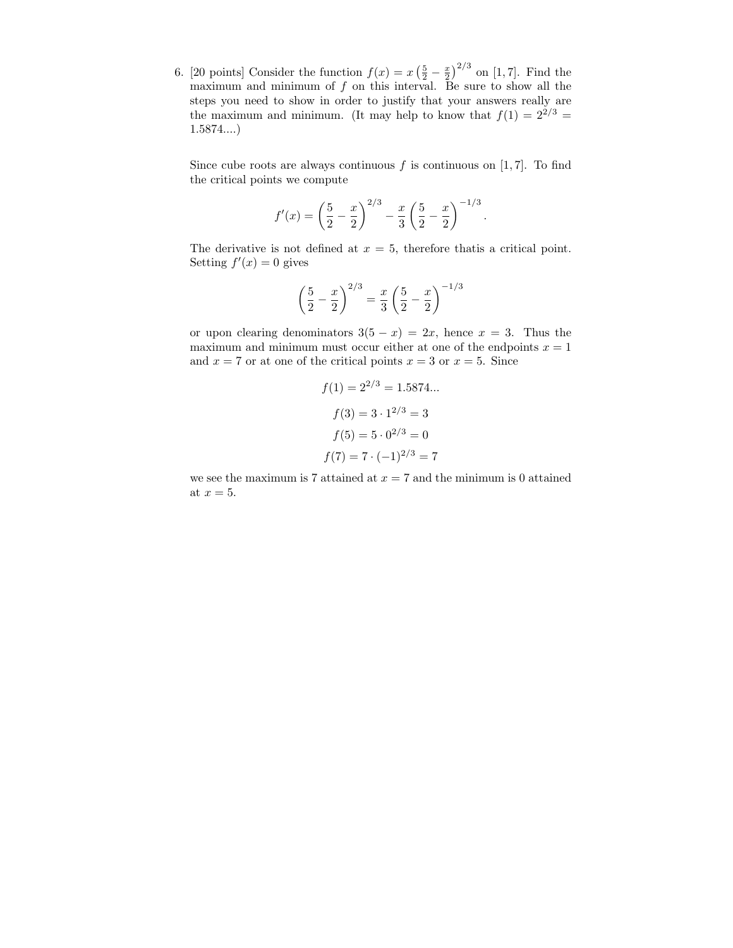6. [20 points] Consider the function  $f(x) = x\left(\frac{5}{2} - \frac{x}{2}\right)^{2/3}$  on [1, 7]. Find the maximum and minimum of  $f$  on this interval. Be sure to show all the steps you need to show in order to justify that your answers really are the maximum and minimum. (It may help to know that  $f(1) = 2^{2/3} =$ 1.5874....)

Since cube roots are always continuous f is continuous on  $[1, 7]$ . To find the critical points we compute

$$
f'(x) = \left(\frac{5}{2} - \frac{x}{2}\right)^{2/3} - \frac{x}{3}\left(\frac{5}{2} - \frac{x}{2}\right)^{-1/3}
$$

.

The derivative is not defined at  $x = 5$ , therefore that is a critical point. Setting  $f'(x) = 0$  gives

$$
\left(\frac{5}{2} - \frac{x}{2}\right)^{2/3} = \frac{x}{3} \left(\frac{5}{2} - \frac{x}{2}\right)^{-1/3}
$$

or upon clearing denominators  $3(5 - x) = 2x$ , hence  $x = 3$ . Thus the maximum and minimum must occur either at one of the endpoints  $x = 1$ and  $x = 7$  or at one of the critical points  $x = 3$  or  $x = 5$ . Since

$$
f(1) = 2^{2/3} = 1.5874...
$$

$$
f(3) = 3 \cdot 1^{2/3} = 3
$$

$$
f(5) = 5 \cdot 0^{2/3} = 0
$$

$$
f(7) = 7 \cdot (-1)^{2/3} = 7
$$

we see the maximum is 7 attained at  $x = 7$  and the minimum is 0 attained at  $x = 5$ .